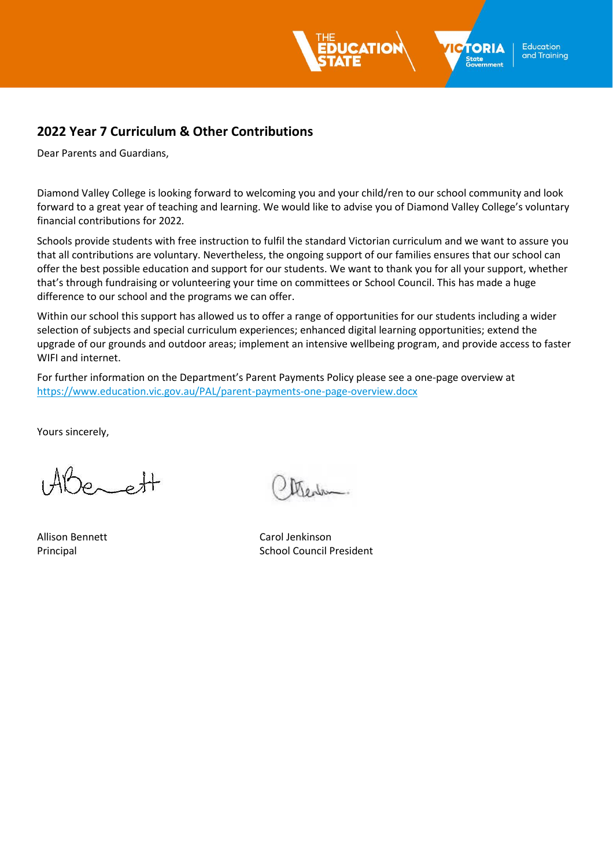

**Education** and Training

# **2022 Year 7 Curriculum & Other Contributions**

Dear Parents and Guardians,

Diamond Valley College is looking forward to welcoming you and your child/ren to our school community and look forward to a great year of teaching and learning. We would like to advise you of Diamond Valley College's voluntary financial contributions for 2022*.*

Schools provide students with free instruction to fulfil the standard Victorian curriculum and we want to assure you that all contributions are voluntary. Nevertheless, the ongoing support of our families ensures that our school can offer the best possible education and support for our students. We want to thank you for all your support, whether that's through fundraising or volunteering your time on committees or School Council. This has made a huge difference to our school and the programs we can offer.

Within our school this support has allowed us to offer a range of opportunities for our students including a wider selection of subjects and special curriculum experiences; enhanced digital learning opportunities; extend the upgrade of our grounds and outdoor areas; implement an intensive wellbeing program, and provide access to faster WIFI and internet.

For further information on the Department's Parent Payments Policy please see a one-page overview at <https://www.education.vic.gov.au/PAL/parent-payments-one-page-overview.docx>

Yours sincerely,

 $\varphi$  oft

Allison Bennett Carol Jenkinson Principal **School Council President**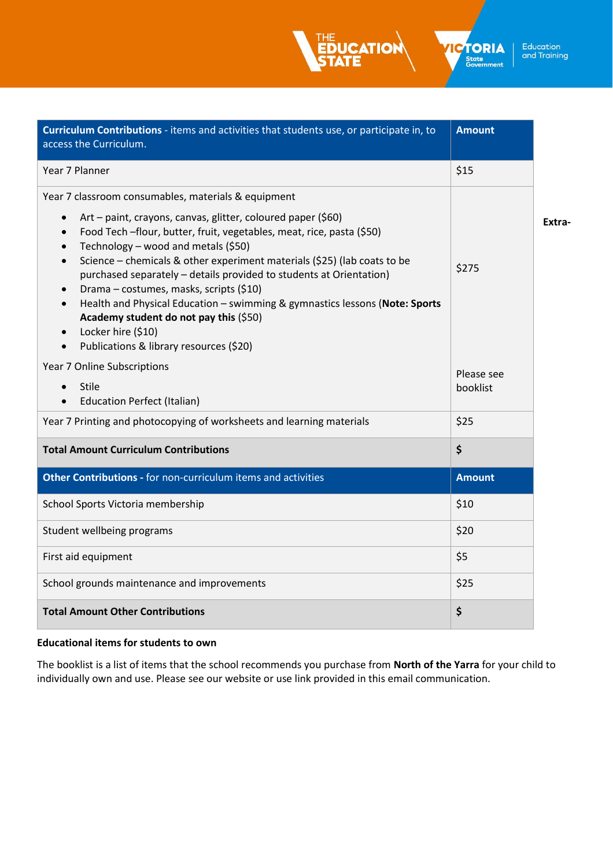Education<br>and Training

**ICTORIA** State<br>Government

| Curriculum Contributions - items and activities that students use, or participate in, to<br>access the Curriculum.                                                                                                                                                                                                                                                                                                                                                                                                                                                                                                                                                                                                                  | <b>Amount</b>          |        |
|-------------------------------------------------------------------------------------------------------------------------------------------------------------------------------------------------------------------------------------------------------------------------------------------------------------------------------------------------------------------------------------------------------------------------------------------------------------------------------------------------------------------------------------------------------------------------------------------------------------------------------------------------------------------------------------------------------------------------------------|------------------------|--------|
| Year 7 Planner                                                                                                                                                                                                                                                                                                                                                                                                                                                                                                                                                                                                                                                                                                                      | \$15                   |        |
| Year 7 classroom consumables, materials & equipment<br>Art – paint, crayons, canvas, glitter, coloured paper (\$60)<br>$\bullet$<br>Food Tech -flour, butter, fruit, vegetables, meat, rice, pasta (\$50)<br>$\bullet$<br>Technology - wood and metals (\$50)<br>$\bullet$<br>Science - chemicals & other experiment materials (\$25) (lab coats to be<br>$\bullet$<br>purchased separately - details provided to students at Orientation)<br>Drama - costumes, masks, scripts (\$10)<br>$\bullet$<br>Health and Physical Education - swimming & gymnastics lessons (Note: Sports<br>$\bullet$<br>Academy student do not pay this (\$50)<br>Locker hire (\$10)<br>$\bullet$<br>Publications & library resources (\$20)<br>$\bullet$ | \$275                  | Extra- |
| Year 7 Online Subscriptions<br><b>Stile</b><br>$\bullet$<br><b>Education Perfect (Italian)</b>                                                                                                                                                                                                                                                                                                                                                                                                                                                                                                                                                                                                                                      | Please see<br>booklist |        |
| Year 7 Printing and photocopying of worksheets and learning materials                                                                                                                                                                                                                                                                                                                                                                                                                                                                                                                                                                                                                                                               | \$25                   |        |
| <b>Total Amount Curriculum Contributions</b>                                                                                                                                                                                                                                                                                                                                                                                                                                                                                                                                                                                                                                                                                        | \$                     |        |
| Other Contributions - for non-curriculum items and activities                                                                                                                                                                                                                                                                                                                                                                                                                                                                                                                                                                                                                                                                       | <b>Amount</b>          |        |
| School Sports Victoria membership                                                                                                                                                                                                                                                                                                                                                                                                                                                                                                                                                                                                                                                                                                   | \$10                   |        |
| Student wellbeing programs                                                                                                                                                                                                                                                                                                                                                                                                                                                                                                                                                                                                                                                                                                          | \$20                   |        |
| First aid equipment                                                                                                                                                                                                                                                                                                                                                                                                                                                                                                                                                                                                                                                                                                                 | \$5                    |        |
| School grounds maintenance and improvements                                                                                                                                                                                                                                                                                                                                                                                                                                                                                                                                                                                                                                                                                         | \$25                   |        |
| <b>Total Amount Other Contributions</b>                                                                                                                                                                                                                                                                                                                                                                                                                                                                                                                                                                                                                                                                                             | \$                     |        |

**UCATION** 

# **Educational items for students to own**

The booklist is a list of items that the school recommends you purchase from **North of the Yarra** for your child to individually own and use. Please see our website or use link provided in this email communication.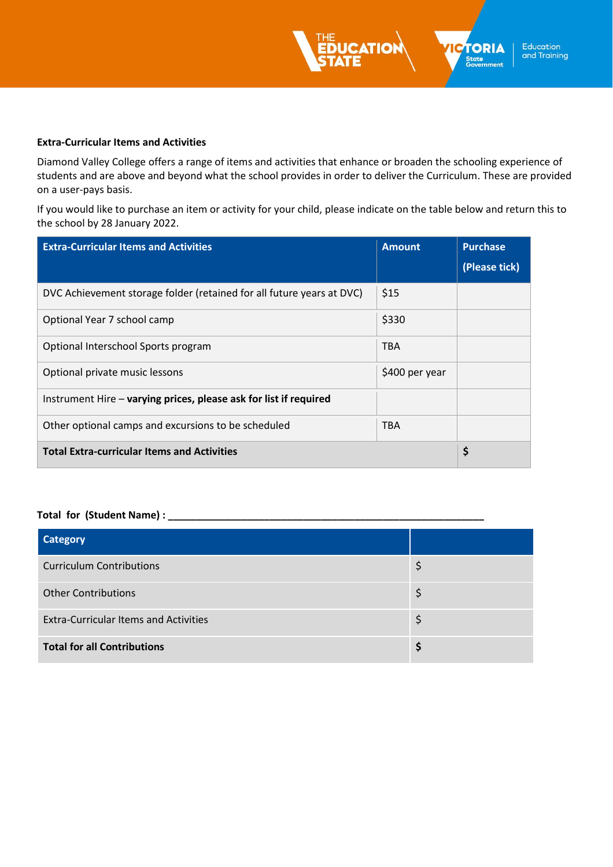

Diamond Valley College offers a range of items and activities that enhance or broaden the schooling experience of students and are above and beyond what the school provides in order to deliver the Curriculum. These are provided on a user-pays basis.

If you would like to purchase an item or activity for your child, please indicate on the table below and return this to the school by 28 January 2022.

| <b>Extra-Curricular Items and Activities</b>                          | <b>Amount</b>  | <b>Purchase</b> |
|-----------------------------------------------------------------------|----------------|-----------------|
|                                                                       |                | (Please tick)   |
| DVC Achievement storage folder (retained for all future years at DVC) | \$15           |                 |
| Optional Year 7 school camp                                           | \$330          |                 |
| Optional Interschool Sports program                                   | TBA            |                 |
| Optional private music lessons                                        | \$400 per year |                 |
| Instrument Hire - varying prices, please ask for list if required     |                |                 |
| Other optional camps and excursions to be scheduled                   | TBA            |                 |
| <b>Total Extra-curricular Items and Activities</b>                    |                | \$              |

## **Total for (Student Name) : \_\_\_\_\_\_\_\_\_\_\_\_\_\_\_\_\_\_\_\_\_\_\_\_\_\_\_\_\_\_\_\_\_\_\_\_\_\_\_\_\_\_\_\_\_\_\_\_\_\_\_\_\_\_\_\_**

| <b>Category</b>                              |    |
|----------------------------------------------|----|
| <b>Curriculum Contributions</b>              | Ş  |
| <b>Other Contributions</b>                   | Ş  |
| <b>Extra-Curricular Items and Activities</b> | \$ |
| <b>Total for all Contributions</b>           | S  |